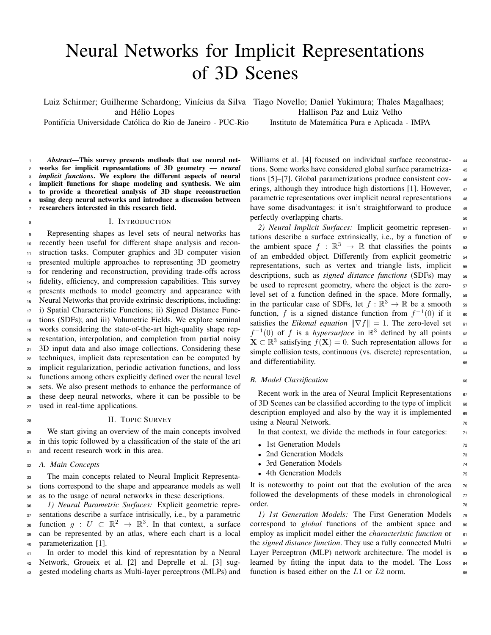# Neural Networks for Implicit Representations of 3D Scenes

Luiz Schirmer; Guilherme Schardong; Vinícius da Silva Tiago Novello; Daniel Yukimura; Thales Magalhaes; and Helio Lopes ´

Pontifícia Universidade Católica do Rio de Janeiro - PUC-Rio

Hallison Paz and Luiz Velho

Instituto de Matemática Pura e Aplicada - IMPA

 *Abstract*—This survey presents methods that use neural net- works for implicit representations of 3D geometry — *neural implicit functions*. We explore the different aspects of neural implicit functions for shape modeling and synthesis. We aim to provide a theoretical analysis of 3D shape reconstruction using deep neural networks and introduce a discussion between researchers interested in this research field.

#### I. INTRODUCTION

 Representing shapes as level sets of neural networks has recently been useful for different shape analysis and recon- struction tasks. Computer graphics and 3D computer vision presented multiple approaches to representing 3D geometry for rendering and reconstruction, providing trade-offs across fidelity, efficiency, and compression capabilities. This survey presents methods to model geometry and appearance with Neural Networks that provide extrinsic descriptions, including: i) Spatial Characteristic Functions; ii) Signed Distance Func- tions (SDFs); and iii) Volumetric Fields. We explore seminal works considering the state-of-the-art high-quality shape rep- resentation, interpolation, and completion from partial noisy 3D input data and also image collections. Considering these techniques, implicit data representation can be computed by implicit regularization, periodic activation functions, and loss functions among others explicitly defined over the neural level sets. We also present methods to enhance the performance of these deep neural networks, where it can be possible to be used in real-time applications.

#### 28 II. TOPIC SURVEY

<sup>29</sup> We start giving an overview of the main concepts involved <sup>30</sup> in this topic followed by a classification of the state of the art 31 and recent research work in this area.

<sup>32</sup> *A. Main Concepts*

<sup>33</sup> The main concepts related to Neural Implicit Representa-<sup>34</sup> tions correspond to the shape and appearance models as well <sup>35</sup> as to the usage of neural networks in these descriptions.

 *1) Neural Parametric Surfaces:* Explicit geometric repre- sentations describe a surface intrisically, i.e., by a parametric 38 function  $g: U \subset \mathbb{R}^2 \to \mathbb{R}^3$ . In that context, a surface can be represented by an atlas, where each chart is a local parameterization [1].

<sup>41</sup> In order to model this kind of represntation by a Neural <sup>42</sup> Network, Groueix et al. [2] and Deprelle et al. [3] sug-<sup>43</sup> gested modeling charts as Multi-layer perceptrons (MLPs) and

Williams et al. [4] focused on individual surface reconstruc- 44 tions. Some works have considered global surface parametriza- <sup>45</sup> tions [5]–[7]. Global parametrizations produce consistent cov- <sup>46</sup> erings, although they introduce high distortions [1]. However, 47 parametric representations over implicit neural representations 48 have some disadvantages: it isn't straightforward to produce 49 perfectly overlapping charts.

*2) Neural Implicit Surfaces:* Implicit geometric represen- <sup>51</sup> tations describe a surface extrinsically, i.e., by a function of  $_{52}$ the ambient space  $f : \mathbb{R}^3 \to \mathbb{R}$  that classifies the points 53 of an embedded object. Differently from explicit geometric <sup>54</sup> representations, such as vertex and triangle lists, implicit 55 descriptions, such as *signed distance functions* (SDFs) may <sup>56</sup> be used to represent geometry, where the object is the zero-<br>  $57$ level set of a function defined in the space. More formally, 58 in the particular case of SDFs, let  $f : \mathbb{R}^3 \to \mathbb{R}$  be a smooth so function, f is a signed distance function from  $f^{-1}(0)$  if it 60 satisfies the *Eikonal equation*  $\|\nabla f\| = 1$ . The zero-level set 61  $f^{-1}(0)$  of f is a *hypersurface* in  $\mathbb{R}^3$  defined by all points 62  $\mathbf{X} \subset \mathbb{R}^3$  satisfying  $f(\mathbf{X}) = 0$ . Such representation allows for 63 simple collision tests, continuous (vs. discrete) representation, 64 and differentiability.

#### *B. Model Classification* 66

Recent work in the area of Neural Implicit Representations  $67$ of 3D Scenes can be classified according to the type of implicit  $\frac{1}{68}$ description employed and also by the way it is implemented  $\theta$ using a Neural Network.

In that context, we divide the methods in four categories:  $<sub>71</sub>$ </sub>

- 1st Generation Models 72
- 2nd Generation Models 73
- 3rd Generation Models 74 4th Generation Models 75
- 

It is noteworthy to point out that the evolution of the area  $76$ followed the developments of these models in chronological  $\frac{77}{2}$ order. The contract of the contract of the contract of the contract of the contract of the contract of the contract of the contract of the contract of the contract of the contract of the contract of the contract of the con

*1) 1st Generation Models:* The First Generation Models <sup>79</sup> correspond to *global* functions of the ambient space and 80 employ as implicit model either the *characteristic function* or 81 the *signed distance function*. They use a fully connected Multi az Layer Perceptron (MLP) network architecture. The model is  $83$ learned by fitting the input data to the model. The Loss  $_{84}$ function is based either on the  $L1$  or  $L2$  norm.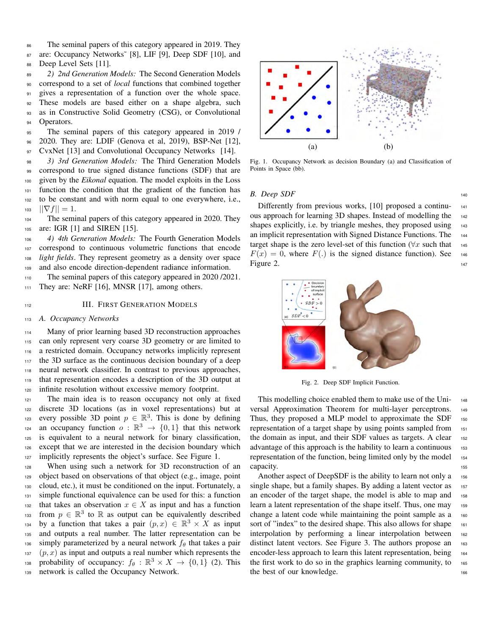86 The seminal papers of this category appeared in 2019. They 87 are: Occupancy Networks<sup>®</sup> [8], LIF [9], Deep SDF [10], and 88 Deep Level Sets [11].

 *2) 2nd Generation Models:* The Second Generation Models correspond to a set of *local* functions that combined together 91 gives a representation of a function over the whole space. These models are based either on a shape algebra, such as in Constructive Solid Geometry (CSG), or Convolutional 94 Operators.

<sup>95</sup> The seminal papers of this category appeared in 2019 / <sup>96</sup> 2020. They are: LDIF (Genova et al, 2019), BSP-Net [12], 97 CvxNet [13] and Convolutional Occupancy Networks [14].

 *3) 3rd Generation Models:* The Third Generation Models correspond to true signed distance functions (SDF) that are given by the *Eikonal* equation. The model exploits in the Loss function the condition that the gradient of the function has to be constant and with norm equal to one everywhere, i.e.,  $_{103}$   $||\nabla f|| = 1.$ 

<sup>104</sup> The seminal papers of this category appeared in 2020. They <sup>105</sup> are: IGR [1] and SIREN [15].

 *4) 4th Generation Models:* The Fourth Generation Models correspond to continuous volumetric functions that encode *light fields*. They represent geometry as a density over space and also encode direction-dependent radiance information.

<sup>110</sup> The seminal papers of this category appeared in 2020 /2021. 111 They are: NeRF [16], MNSR [17], among others.

## 112 **III. FIRST GENERATION MODELS**

#### <sup>113</sup> *A. Occupancy Networks*

114 Many of prior learning based 3D reconstruction approaches can only represent very coarse 3D geometry or are limited to a restricted domain. Occupancy networks implicitly represent the 3D surface as the continuous decision boundary of a deep neural network classifier. In contrast to previous approaches, that representation encodes a description of the 3D output at infinite resolution without excessive memory footprint.

<sup>121</sup> The main idea is to reason occupancy not only at fixed <sup>122</sup> discrete 3D locations (as in voxel representations) but at 123 every possible 3D point  $p \in \mathbb{R}^3$ . This is done by defining <sup>124</sup> an occupancy function  $o : \mathbb{R}^3 \to \{0,1\}$  that this network <sup>125</sup> is equivalent to a neural network for binary classification, <sup>126</sup> except that we are interested in the decision boundary which <sup>127</sup> implicitly represents the object's surface. See Figure 1.

<sup>128</sup> When using such a network for 3D reconstruction of an <sup>129</sup> object based on observations of that object (e.g., image, point <sup>130</sup> cloud, etc.), it must be conditioned on the input. Fortunately, a <sup>131</sup> simple functional equivalence can be used for this: a function 132 that takes an observation  $x \in X$  as input and has a function  $f(x)$  from  $p \in \mathbb{R}^3$  to  $\mathbb R$  as output can be equivalently described <sup>134</sup> by a function that takes a pair  $(p, x) \in \mathbb{R}^3 \times X$  as input <sup>135</sup> and outputs a real number. The latter representation can be 136 simply parameterized by a neural network  $f_\theta$  that takes a pair  $137$  (p, x) as input and outputs a real number which represents the <sup>138</sup> probability of occupancy:  $f_{\theta} : \mathbb{R}^3 \times X \to \{0, 1\}$  (2). This <sup>139</sup> network is called the Occupancy Network.



Fig. 1. Occupancy Network as decision Boundary (a) and Classification of Points in Space (bb).

#### *B. Deep SDF* <sup>140</sup>

Differently from previous works, [10] proposed a continuous approach for learning 3D shapes. Instead of modelling the <sup>142</sup> shapes explicitly, i.e. by triangle meshes, they proposed using 143 an implicit representation with Signed Distance Functions. The <sup>144</sup> target shape is the zero level-set of this function ( $\forall x$  such that 145  $F(x) = 0$ , where  $F(.)$  is the signed distance function). See 146 Figure 2. 147



Fig. 2. Deep SDF Implicit Function.

This modelling choice enabled them to make use of the Uni-<br>148 versal Approximation Theorem for multi-layer perceptrons. <sup>149</sup> Thus, they proposed a MLP model to approximate the SDF 150 representation of a target shape by using points sampled from <sup>151</sup> the domain as input, and their SDF values as targets. A clear  $_{152}$ advantage of this approach is the hability to learn a continuous 153 representation of the function, being limited only by the model  $_{154}$ capacity. 155

Another aspect of DeepSDF is the ability to learn not only a 156 single shape, but a family shapes. By adding a latent vector as 157 an encoder of the target shape, the model is able to map and 158 learn a latent representation of the shape itself. Thus, one may 159 change a latent code while maintaining the point sample as a 160 sort of "index" to the desired shape. This also allows for shape 161 interpolation by performing a linear interpolation between <sup>162</sup> distinct latent vectors. See Figure 3. The authors propose an 163 encoder-less approach to learn this latent representation, being 164 the first work to do so in the graphics learning community, to  $165$ the best of our knowledge.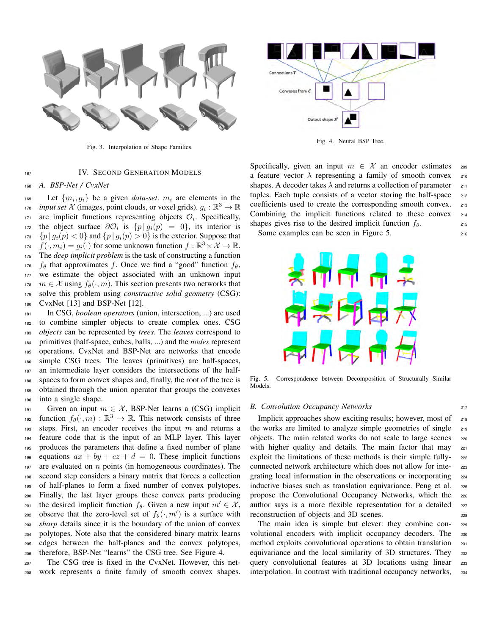

Fig. 3. Interpolation of Shape Families.

#### 167 IV. SECOND GENERATION MODELS

<sup>168</sup> *A. BSP-Net / CvxNet*

 $\text{Let } \{m_i, g_i\}$  be a given *data-set*.  $m_i$  are elements in the *input set*  $X$  (images, point clouds, or voxel grids).  $g_i : \mathbb{R}^3 \to \mathbb{R}$  $171$  are implicit functions representing objects  $\mathcal{O}_i$ . Specifically, 172 the object surface  $\partial \mathcal{O}_i$  is  $\{p \mid g_i(p) = 0\}$ , its interior is  $_{173}$   $\{p \mid g_i(p) < 0\}$  and  $\{p \mid g_i(p) > 0\}$  is the exterior. Suppose that  $f(\cdot, m_i) = g_i(\cdot)$  for some unknown function  $f : \mathbb{R}^3 \times \mathcal{X} \to \mathbb{R}$ . <sup>175</sup> The *deep implicit problem* is the task of constructing a function 176 fle that approximates f. Once we find a "good" function  $f_{\theta}$ , <sup>177</sup> we estimate the object associated with an unknown input  $m \in \mathcal{X}$  using  $f_{\theta}(\cdot, m)$ . This section presents two networks that <sup>179</sup> solve this problem using *constructive solid geometry* (CSG): <sup>180</sup> CvxNet [13] and BSP-Net [12].

 In CSG, *boolean operators* (union, intersection, ...) are used to combine simpler objects to create complex ones. CSG *objects* can be represented by *trees*. The *leaves* correspond to primitives (half-space, cubes, balls, ...) and the *nodes* represent operations. CvxNet and BSP-Net are networks that encode simple CSG trees. The leaves (primitives) are half-spaces, an intermediate layer considers the intersections of the half- spaces to form convex shapes and, finally, the root of the tree is obtained through the union operator that groups the convexes into a single shape.

191 Given an input  $m \in \mathcal{X}$ , BSP-Net learns a (CSG) implicit function  $f_{\theta}(\cdot,m): \mathbb{R}^3 \to \mathbb{R}$ . This network consists of three 193 steps. First, an encoder receives the input  $m$  and returns a <sup>194</sup> feature code that is the input of an MLP layer. This layer <sup>195</sup> produces the parameters that define a fixed number of plane 196 equations  $ax + by + cz + d = 0$ . These implicit functions 197 are evaluated on  $n$  points (in homogeneous coordinates). The <sup>198</sup> second step considers a binary matrix that forces a collection <sup>199</sup> of half-planes to form a fixed number of convex polytopes. <sup>200</sup> Finally, the last layer groups these convex parts producing 201 the desired implicit function  $f_\theta$ . Given a new input  $m' \in \mathcal{X}$ , 202 observe that the zero-level set of  $f_{\theta}(\cdot, m')$  is a surface with <sup>203</sup> *sharp* details since it is the boundary of the union of convex <sup>204</sup> polytopes. Note also that the considered binary matrix learns <sup>205</sup> edges between the half-planes and the convex polytopes, <sup>206</sup> therefore, BSP-Net "learns" the CSG tree. See Figure 4.

<sup>207</sup> The CSG tree is fixed in the CvxNet. However, this net-<sup>208</sup> work represents a finite family of smooth convex shapes.



Fig. 4. Neural BSP Tree.

Specifically, given an input  $m \in \mathcal{X}$  an encoder estimates 209 a feature vector  $\lambda$  representing a family of smooth convex 210 shapes. A decoder takes  $\lambda$  and returns a collection of parameter  $_{211}$ tuples. Each tuple consists of a vector storing the half-space 212 coefficients used to create the corresponding smooth convex. 213 Combining the implicit functions related to these convex <sup>214</sup> shapes gives rise to the desired implicit function  $f_{\theta}$ .

Some examples can be seen in Figure 5.



Fig. 5. Correspondence between Decomposition of Structurally Similar Models.

#### *B. Convolution Occupancy Networks* <sup>217</sup>

Implicit approaches show exciting results; however, most of 218 the works are limited to analyze simple geometries of single <sup>219</sup> objects. The main related works do not scale to large scenes <sup>220</sup> with higher quality and details. The main factor that may 221 exploit the limitations of these methods is their simple fully-<br>222 connected network architecture which does not allow for inte- <sup>223</sup> grating local information in the observations or incorporating 224 inductive biases such as translation equivariance. Peng et al. 225 propose the Convolutional Occupancy Networks, which the <sup>226</sup> author says is a more flexible representation for a detailed 227 reconstruction of objects and 3D scenes. 228

The main idea is simple but clever: they combine con- <sup>229</sup> volutional encoders with implicit occupancy decoders. The 230 method exploits convolutional operations to obtain translation 231 equivariance and the local similarity of 3D structures. They 232 query convolutional features at 3D locations using linear <sup>233</sup> interpolation. In contrast with traditional occupancy networks, <sup>234</sup>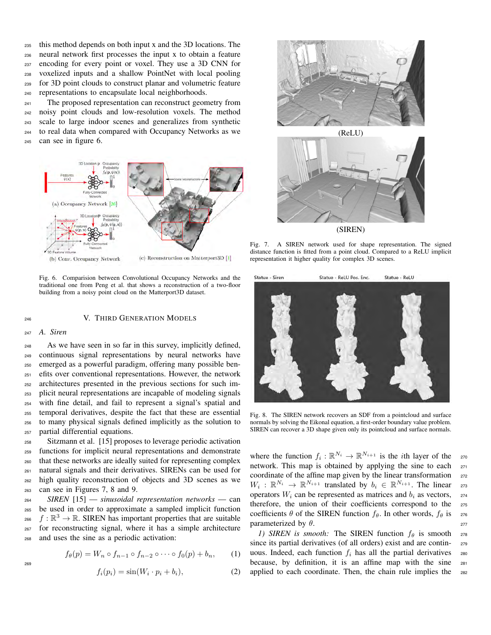this method depends on both input x and the 3D locations. The neural network first processes the input x to obtain a feature encoding for every point or voxel. They use a 3D CNN for voxelized inputs and a shallow PointNet with local pooling for 3D point clouds to construct planar and volumetric feature representations to encapsulate local neighborhoods.

<sup>241</sup> The proposed representation can reconstruct geometry from noisy point clouds and low-resolution voxels. The method scale to large indoor scenes and generalizes from synthetic to real data when compared with Occupancy Networks as we can see in figure 6.



Fig. 6. Comparision between Convolutional Occupancy Networks and the traditional one from Peng et al. that shows a reconstruction of a two-floor building from a noisy point cloud on the Matterport3D dataset.

<sup>246</sup> V. THIRD GENERATION MODELS

# <sup>247</sup> *A. Siren*

 As we have seen in so far in this survey, implicitly defined, continuous signal representations by neural networks have emerged as a powerful paradigm, offering many possible ben- efits over conventional representations. However, the network architectures presented in the previous sections for such im- plicit neural representations are incapable of modeling signals with fine detail, and fail to represent a signal's spatial and temporal derivatives, despite the fact that these are essential to many physical signals defined implicitly as the solution to partial differential equations.

 Sitzmann et al. [15] proposes to leverage periodic activation functions for implicit neural representations and demonstrate that these networks are ideally suited for representing complex natural signals and their derivatives. SIRENs can be used for high quality reconstruction of objects and 3D scenes as we can see in Figures 7, 8 and 9.

 *SIREN* [15] — *sinusoidal representation networks* — can be used in order to approximate a sampled implicit function  $f : \mathbb{R}^3 \to \mathbb{R}$ . SIREN has important properties that are suitable for reconstructing signal, where it has a simple architecture and uses the sine as a periodic activation:

$$
f_{\theta}(p) = W_n \circ f_{n-1} \circ f_{n-2} \circ \cdots \circ f_0(p) + b_n, \qquad (1)
$$

$$
f_i(p_i) = \sin(W_i \cdot p_i + b_i),\tag{2}
$$



Fig. 7. A SIREN network used for shape representation. The signed distance function is fitted from a point cloud. Compared to a ReLU implicit representation it higher quality for complex 3D scenes.



Fig. 8. The SIREN network recovers an SDF from a pointcloud and surface normals by solving the Eikonal equation, a first-order boundary value problem. SIREN can recover a 3D shape given only its pointcloud and surface normals.

where the function  $f_i : \mathbb{R}^{N_i} \to \mathbb{R}^{N_{i+1}}$  is the *i*th layer of the 270 network. This map is obtained by applying the sine to each 271 coordinate of the affine map given by the linear transformation 272  $W_i: \mathbb{R}^{N_i} \to \mathbb{R}^{N_{i+1}}$  translated by  $b_i \in \mathbb{R}^{N_{i+1}}$ . The linear 273 operators  $W_i$  can be represented as matrices and  $b_i$  as vectors, 274 therefore, the union of their coefficients correspond to the <sup>275</sup> coefficients  $\theta$  of the SIREN function  $f_{\theta}$ . In other words,  $f_{\theta}$  is 276 parameterized by  $\theta$ . 277

*1) SIREN is smooth:* The SIREN function  $f_{\theta}$  is smooth 278 since its partial derivatives (of all orders) exist and are contin- <sup>279</sup> uous. Indeed, each function  $f_i$  has all the partial derivatives 280 because, by definition, it is an affine map with the sine <sup>281</sup> applied to each coordinate. Then, the chain rule implies the 282

269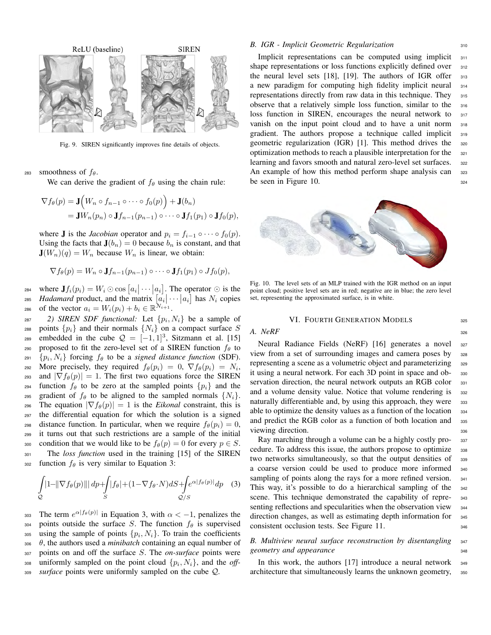

Fig. 9. SIREN significantly improves fine details of objects.

283 smoothness of  $f_{\theta}$ .

We can derive the gradient of  $f_\theta$  using the chain rule:

$$
\nabla f_{\theta}(p) = \mathbf{J}\Big(W_n \circ f_{n-1} \circ \cdots \circ f_0(p)\Big) + \mathbf{J}(b_n)
$$
  
= 
$$
\mathbf{J}W_n(p_n) \circ \mathbf{J}f_{n-1}(p_{n-1}) \circ \cdots \circ \mathbf{J}f_1(p_1) \circ \mathbf{J}f_0(p),
$$

where **J** is the *Jacobian* operator and  $p_i = f_{i-1} \circ \cdots \circ f_0(p)$ . Using the facts that  $J(b_n) = 0$  because  $b_n$  is constant, and that  $J(W_n)(q) = W_n$  because  $W_n$  is linear, we obtain:

$$
\nabla f_{\theta}(p) = W_n \circ \mathbf{J} f_{n-1}(p_{n-1}) \circ \cdots \circ \mathbf{J} f_1(p_1) \circ J f_0(p),
$$

284 where  $\mathbf{J}f_i(p_i) = W_i \odot \cos\left[a_i\right] \cdots \left|a_i\right]$ . The operator  $\odot$  is the 285 *Hadamard* product, and the matrix  $[a_i] \cdots [a_i]$  has  $N_i$  copies 286 of the vector  $a_i = W_i(p_i) + b_i \in \mathbb{R}^{N_{i+1}}$ .

 $29$  *SIREN SDF functional:* Let  $\{p_i, N_i\}$  be a sample of 288 points  $\{p_i\}$  and their normals  $\{N_i\}$  on a compact surface S embedded in the cube  $Q = [-1,1]^3$ , Sitzmann et al. [15] 290 proposed to fit the zero-level set of a SIREN function  $f_{\theta}$  to  $_{291}$  { $p_i$ ,  $N_i$ } forcing  $f_{\theta}$  to be a *signed distance function* (SDF). 292 More precisely, they required  $f_{\theta}(p_i) = 0, \nabla f_{\theta}(p_i) = N_i$ , 293 and  $|\nabla f_{\theta}(p)| = 1$ . The first two equations force the SIREN <sup>294</sup> function  $f_{\theta}$  to be zero at the sampled points  $\{p_i\}$  and the 295 gradient of  $f_{\theta}$  to be aligned to the sampled normals  $\{N_i\}$ . 296 The equation  $|\nabla f_{\theta}(p)| = 1$  is the *Eikonal* constraint, this is <sup>297</sup> the differential equation for which the solution is a signed 298 distance function. In particular, when we require  $f_{\theta}(p_i) = 0$ , <sup>299</sup> it turns out that such restrictions are a sample of the initial 300 condition that we would like to be  $f_{\theta}(p) = 0$  for every  $p \in S$ .

<sup>301</sup> The *loss function* used in the training [15] of the SIREN 302 function  $f_\theta$  is very similar to Equation 3:

$$
\int_{Q} \left| 1 - \left\| \nabla f_{\theta}(p) \right\| \right| dp + \int_{S} |f_{\theta}| + (1 - \nabla f_{\theta} \cdot N) dS + \int_{Q/S} e^{\alpha |f_{\theta}(p)|} dp \quad (3)
$$

303 The term  $e^{\alpha |f_{\theta}(p)|}$  in Equation 3, with  $\alpha < -1$ , penalizes the 304 points outside the surface S. The function  $f_{\theta}$  is supervised 305 using the sample of points  $\{p_i, N_i\}$ . To train the coefficients  $\theta$ , the authors used a *minibatch* containing an equal number of <sup>307</sup> points on and off the surface S. The *on-surface* points were  $_{308}$  uniformly sampled on the point cloud  $\{p_i, N_i\}$ , and the *off-*<sup>309</sup> *surface* points were uniformly sampled on the cube Q.

#### *B. IGR - Implicit Geometric Regularization* 310

Implicit representations can be computed using implicit 311 shape representations or loss functions explicitly defined over 312 the neural level sets [18], [19]. The authors of IGR offer 313 a new paradigm for computing high fidelity implicit neural <sup>314</sup> representations directly from raw data in this technique. They 315 observe that a relatively simple loss function, similar to the <sup>316</sup> loss function in SIREN, encourages the neural network to 317 vanish on the input point cloud and to have a unit norm <sup>318</sup> gradient. The authors propose a technique called implicit 319 geometric regularization (IGR) [1]. This method drives the <sup>320</sup> optimization methods to reach a plausible interpretation for the 321 learning and favors smooth and natural zero-level set surfaces. 322 An example of how this method perform shape analysis can 323 be seen in Figure 10.  $324$ 



Fig. 10. The level sets of an MLP trained with the IGR method on an input point cloud; positive level sets are in red; negative are in blue; the zero level set, representing the approximated surface, is in white.

#### VI. FOURTH GENERATION MODELS 325

*A. NeRF* 326

Neural Radiance Fields (NeRF) [16] generates a novel 327 view from a set of surrounding images and camera poses by <sup>328</sup> representing a scene as a volumetric object and parameterizing 329 it using a neural network. For each 3D point in space and ob- <sup>330</sup> servation direction, the neural network outputs an RGB color 331 and a volume density value. Notice that volume rendering is 332 naturally differentiable and, by using this approach, they were 333 able to optimize the density values as a function of the location 334 and predict the RGB color as a function of both location and 335 viewing direction. 336

Ray marching through a volume can be a highly costly pro- 337 cedure. To address this issue, the authors propose to optimize 338 two networks simultaneously, so that the output densities of <sup>339</sup> a coarse version could be used to produce more informed <sup>340</sup> sampling of points along the rays for a more refined version. 341 This way, it's possible to do a hierarchical sampling of the 342 scene. This technique demonstrated the capability of repre-<br><sub>343</sub> senting reflections and specularities when the observation view 344 direction changes, as well as estimating depth information for 345 consistent occlusion tests. See Figure 11.

### *B. Multiview neural surface reconstruction by disentangling* <sup>347</sup> *geometry and appearance* 348

In this work, the authors  $[17]$  introduce a neural network  $\frac{349}{2}$ architecture that simultaneously learns the unknown geometry, 350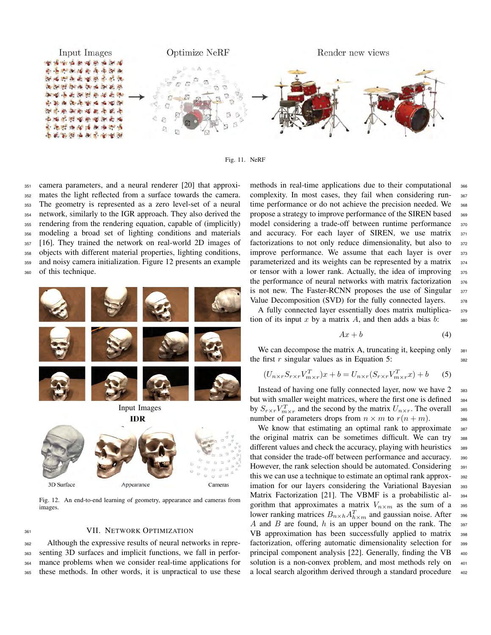

Fig. 11. NeRF

 camera parameters, and a neural renderer [20] that approxi- mates the light reflected from a surface towards the camera. The geometry is represented as a zero level-set of a neural network, similarly to the IGR approach. They also derived the rendering from the rendering equation, capable of (implicitly) modeling a broad set of lighting conditions and materials [16]. They trained the network on real-world 2D images of objects with different material properties, lighting conditions, and noisy camera initialization. Figure 12 presents an example of this technique.



Fig. 12. An end-to-end learning of geometry, appearance and cameras from images.

#### 361 VII. NETWORK OPTIMIZATION

 Although the expressive results of neural networks in repre- senting 3D surfaces and implicit functions, we fall in perfor- mance problems when we consider real-time applications for these methods. In other words, it is unpractical to use these methods in real-time applications due to their computational 366 complexity. In most cases, they fail when considering run-<br><sub>367</sub> time performance or do not achieve the precision needed. We 368 propose a strategy to improve performance of the SIREN based <sup>369</sup> model considering a trade-off between runtime performance 370 and accuracy. For each layer of SIREN, we use matrix 371 factorizations to not only reduce dimensionality, but also to 372 improve performance. We assume that each layer is over 373 parameterized and its weights can be represented by a matrix  $374$ or tensor with a lower rank. Actually, the idea of improving 375 the performance of neural networks with matrix factorization 376 is not new. The Faster-RCNN proposes the use of Singular 377 Value Decomposition (SVD) for the fully connected layers. 378

A fully connected layer essentially does matrix multiplica- <sup>379</sup> tion of its input x by a matrix A, and then adds a bias  $b$ : 380

$$
Ax + b \tag{4}
$$

We can decompose the matrix A, truncating it, keeping only  $381$ the first r singular values as in Equation 5:  $_{382}$ 

$$
(U_{n \times r} S_{r \times r} V_{m \times r}^T) x + b = U_{n \times r} (S_{r \times r} V_{m \times r}^T x) + b \tag{5}
$$

Instead of having one fully connected layer, now we have 2 383 but with smaller weight matrices, where the first one is defined 384 by  $S_{r \times r} V_{m \times r}^T$  and the second by the matrix  $U_{n \times r}$ . The overall ass number of parameters drops from  $n \times m$  to  $r(n+m)$ . 386

We know that estimating an optimal rank to approximate 387 the original matrix can be sometimes difficult. We can try <sup>388</sup> different values and check the accuracy, playing with heuristics 389 that consider the trade-off between performance and accuracy. 390 However, the rank selection should be automated. Considering 39 this we can use a technique to estimate an optimal rank approx- <sup>392</sup> imation for our layers considering the Variational Bayesian 393 Matrix Factorization [21]. The VBMF is a probabilistic al- <sup>394</sup> gorithm that approximates a matrix  $V_{n \times m}$  as the sum of a 395 lower ranking matrices  $B_{n \times h} A_{h \times m}^T$  and gaussian noise. After 396 A and B are found,  $h$  is an upper bound on the rank. The 397 VB approximation has been successfully applied to matrix 398 factorization, offering automatic dimensionality selection for 399 principal component analysis [22]. Generally, finding the VB <sup>400</sup> solution is a non-convex problem, and most methods rely on  $401$ a local search algorithm derived through a standard procedure 402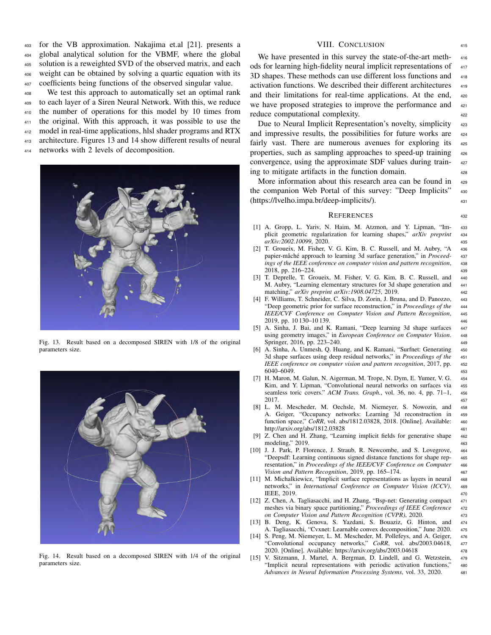for the VB approximation. Nakajima et.al [21]. presents a global analytical solution for the VBMF, where the global solution is a reweighted SVD of the observed matrix, and each weight can be obtained by solving a quartic equation with its coefficients being functions of the observed singular value.

 We test this approach to automatically set an optimal rank to each layer of a Siren Neural Network. With this, we reduce the number of operations for this model by 10 times from the original. With this approach, it was possible to use the model in real-time applications, hlsl shader programs and RTX 413 architecture. Figures 13 and 14 show different results of neural networks with 2 levels of decomposition.



Fig. 13. Result based on a decomposed SIREN with 1/8 of the original parameters size.



Fig. 14. Result based on a decomposed SIREN with 1/4 of the original parameters size.

#### VIII. CONCLUSION 415

We have presented in this survey the state-of-the-art meth-<br>416 ods for learning high-fidelity neural implicit representations of 417 3D shapes. These methods can use different loss functions and <sup>418</sup> activation functions. We described their different architectures 419 and their limitations for real-time applications. At the end, 420 we have proposed strategies to improve the performance and 421 reduce computational complexity.

Due to Neural Implicit Representation's novelty, simplicity 423 and impressive results, the possibilities for future works are  $424$ fairly vast. There are numerous avenues for exploring its  $425$ properties, such as sampling approaches to speed-up training <sup>426</sup> convergence, using the approximate SDF values during train- <sup>427</sup> ing to mitigate artifacts in the function domain. <sup>428</sup>

More information about this research area can be found in 429 the companion Web Portal of this survey: "Deep Implicits" <sup>430</sup> (https://lvelho.impa.br/deep-implicits/). <sup>431</sup>

#### REFERENCES <sup>432</sup>

- [1] A. Gropp, L. Yariv, N. Haim, M. Atzmon, and Y. Lipman, "Im- <sup>433</sup> plicit geometric regularization for learning shapes," *arXiv preprint* <sup>434</sup> *arXiv:2002.10099*, 2020. <sup>435</sup>
- [2] T. Groueix, M. Fisher, V. G. Kim, B. C. Russell, and M. Aubry, "A <sup>436</sup> papier-mâché approach to learning 3d surface generation," in Proceed- 437 *ings of the IEEE conference on computer vision and pattern recognition*, <sup>438</sup> 2018, pp. 216–224. <sup>439</sup>
- [3] T. Deprelle, T. Groueix, M. Fisher, V. G. Kim, B. C. Russell, and 440 M. Aubry, "Learning elementary structures for 3d shape generation and <sup>441</sup> matching," *arXiv preprint arXiv:1908.04725*, 2019. <sup>442</sup>
- [4] F. Williams, T. Schneider, C. Silva, D. Zorin, J. Bruna, and D. Panozzo, <sup>443</sup> "Deep geometric prior for surface reconstruction," in *Proceedings of the* <sup>444</sup> *IEEE/CVF Conference on Computer Vision and Pattern Recognition*, <sup>445</sup> 2019, pp. 10 130–10 139. <sup>446</sup>
- [5] A. Sinha, J. Bai, and K. Ramani, "Deep learning 3d shape surfaces 447 using geometry images," in *European Conference on Computer Vision*. <sup>448</sup> Springer, 2016, pp. 223–240. 449
- [6] A. Sinha, A. Unmesh, Q. Huang, and K. Ramani, "Surfnet: Generating 450 3d shape surfaces using deep residual networks," in *Proceedings of the* <sup>451</sup> *IEEE conference on computer vision and pattern recognition*, 2017, pp. <sup>452</sup> 6040–6049. <sup>453</sup>
- [7] H. Maron, M. Galun, N. Aigerman, M. Trope, N. Dym, E. Yumer, V. G. <sup>454</sup> Kim, and Y. Lipman, "Convolutional neural networks on surfaces via seamless toric covers." *ACM Trans. Graph.*, vol. 36, no. 4, pp. 71-1, 456 2017. <sup>457</sup>
- [8] L. M. Mescheder, M. Oechsle, M. Niemeyer, S. Nowozin, and <sup>458</sup> A. Geiger, "Occupancy networks: Learning 3d reconstruction in <sup>459</sup> function space," *CoRR*, vol. abs/1812.03828, 2018. [Online]. Available: <sup>460</sup> http://arxiv.org/abs/1812.03828 461
- Z. Chen and H. Zhang, "Learning implicit fields for generative shape 462 modeling," 2019. <sup>463</sup>
- [10] J. J. Park, P. Florence, J. Straub, R. Newcombe, and S. Lovegrove, 464 "Deepsdf: Learning continuous signed distance functions for shape rep- <sup>465</sup> resentation," in *Proceedings of the IEEE/CVF Conference on Computer* <sup>466</sup> *Vision and Pattern Recognition*, 2019, pp. 165–174. <sup>467</sup>
- [11] M. Michalkiewicz, "Implicit surface representations as layers in neural 468 networks," in *International Conference on Computer Vision (ICCV)*. <sup>469</sup> IEEE, 2019. <sup>470</sup>
- [12] Z. Chen, A. Tagliasacchi, and H. Zhang, "Bsp-net: Generating compact 471 meshes via binary space partitioning," *Proceedings of IEEE Conference* <sup>472</sup> *on Computer Vision and Pattern Recognition (CVPR)*, 2020. <sup>473</sup>
- [13] B. Deng, K. Genova, S. Yazdani, S. Bouaziz, G. Hinton, and <sup>474</sup> A. Tagliasacchi, "Cvxnet: Learnable convex decomposition," June 2020. <sup>475</sup>
- [14] S. Peng, M. Niemeyer, L. M. Mescheder, M. Pollefeys, and A. Geiger, 476 "Convolutional occupancy networks," *CoRR*, vol. abs/2003.04618, <sup>477</sup> 2020. [Online]. Available: https://arxiv.org/abs/2003.04618 <sup>478</sup>
- [15] V. Sitzmann, J. Martel, A. Bergman, D. Lindell, and G. Wetzstein, <sup>479</sup> "Implicit neural representations with periodic activation functions," <sup>480</sup> *Advances in Neural Information Processing Systems*, vol. 33, 2020. <sup>481</sup>